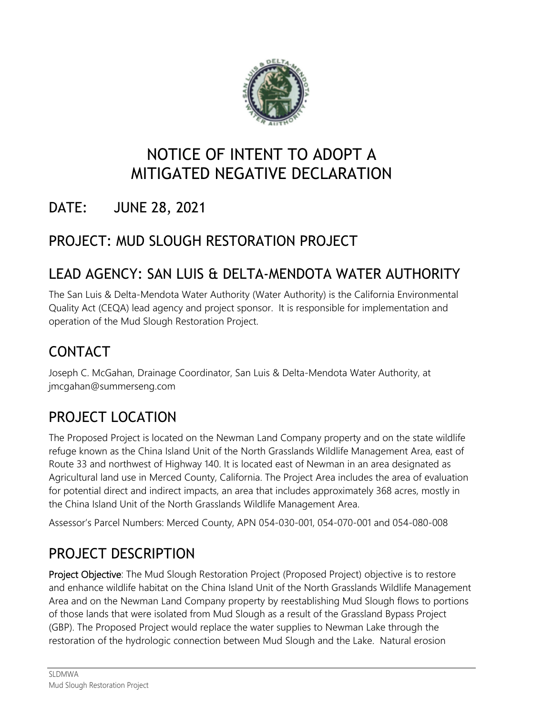

# NOTICE OF INTENT TO ADOPT A MITIGATED NEGATIVE DECLARATION

## DATE: JUNE 28, 2021

## PROJECT: MUD SLOUGH RESTORATION PROJECT

## LEAD AGENCY: SAN LUIS & DELTA-MENDOTA WATER AUTHORITY

The San Luis & Delta-Mendota Water Authority (Water Authority) is the California Environmental Quality Act (CEQA) lead agency and project sponsor. It is responsible for implementation and operation of the Mud Slough Restoration Project.

## CONTACT

Joseph C. McGahan, Drainage Coordinator, San Luis & Delta-Mendota Water Authority, at [jmcgahan@summerseng.com](mailto:jmcgahan@summerseng.com)

## PROJECT LOCATION

The Proposed Project is located on the Newman Land Company property and on the state wildlife refuge known as the China Island Unit of the North Grasslands Wildlife Management Area, east of Route 33 and northwest of Highway 140. It is located east of Newman in an area designated as Agricultural land use in Merced County, California. The Project Area includes the area of evaluation for potential direct and indirect impacts, an area that includes approximately 368 acres, mostly in the China Island Unit of the North Grasslands Wildlife Management Area.

Assessor's Parcel Numbers: Merced County, APN 054-030-001, 054-070-001 and 054-080-008

## PROJECT DESCRIPTION

Project Objective: The Mud Slough Restoration Project (Proposed Project) objective is to restore and enhance wildlife habitat on the China Island Unit of the North Grasslands Wildlife Management Area and on the Newman Land Company property by reestablishing Mud Slough flows to portions of those lands that were isolated from Mud Slough as a result of the Grassland Bypass Project (GBP). The Proposed Project would replace the water supplies to Newman Lake through the restoration of the hydrologic connection between Mud Slough and the Lake. Natural erosion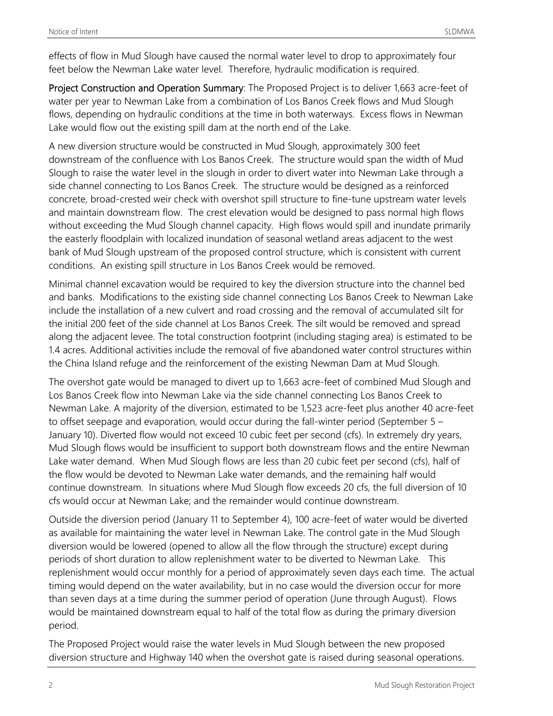effects of flow in Mud Slough have caused the normal water level to drop to approximately four feet below the Newman Lake water level. Therefore, hydraulic modification is required.

Project Construction and Operation Summary: The Proposed Project is to deliver 1,663 acre-feet of water per year to Newman Lake from a combination of Los Banos Creek flows and Mud Slough flows, depending on hydraulic conditions at the time in both waterways. Excess flows in Newman Lake would flow out the existing spill dam at the north end of the Lake.

A new diversion structure would be constructed in Mud Slough, approximately 300 feet downstream of the confluence with Los Banos Creek. The structure would span the width of Mud Slough to raise the water level in the slough in order to divert water into Newman Lake through a side channel connecting to Los Banos Creek. The structure would be designed as a reinforced concrete, broad-crested weir check with overshot spill structure to fine-tune upstream water levels and maintain downstream flow. The crest elevation would be designed to pass normal high flows without exceeding the Mud Slough channel capacity. High flows would spill and inundate primarily the easterly floodplain with localized inundation of seasonal wetland areas adjacent to the west bank of Mud Slough upstream of the proposed control structure, which is consistent with current conditions. An existing spill structure in Los Banos Creek would be removed.

Minimal channel excavation would be required to key the diversion structure into the channel bed and banks. Modifications to the existing side channel connecting Los Banos Creek to Newman Lake include the installation of a new culvert and road crossing and the removal of accumulated silt for the initial 200 feet of the side channel at Los Banos Creek. The silt would be removed and spread along the adjacent levee. The total construction footprint (including staging area) is estimated to be 1.4 acres. Additional activities include the removal of five abandoned water control structures within the China Island refuge and the reinforcement of the existing Newman Dam at Mud Slough.

cfs would occur at Newman Lake; and the remainder would continue downstream. The overshot gate would be managed to divert up to 1,663 acre-feet of combined Mud Slough and Los Banos Creek flow into Newman Lake via the side channel connecting Los Banos Creek to Newman Lake. A majority of the diversion, estimated to be 1,523 acre-feet plus another 40 acre-feet to offset seepage and evaporation, would occur during the fall-winter period (September 5 – January 10). Diverted flow would not exceed 10 cubic feet per second (cfs). In extremely dry years, Mud Slough flows would be insufficient to support both downstream flows and the entire Newman Lake water demand. When Mud Slough flows are less than 20 cubic feet per second (cfs), half of the flow would be devoted to Newman Lake water demands, and the remaining half would continue downstream. In situations where Mud Slough flow exceeds 20 cfs, the full diversion of 10

Cutside the diversion period (January 11 to September 4), 100 acre-feet of water would be diverted as available for maintaining the water level in Newman Lake. The control gate in the Mud Slough diversion would be lowered (opened to allow all the flow through the structure) except during periods of short duration to allow replenishment water to be diverted to Newman Lake. This replenishment would occur monthly for a period of approximately seven days each time. The actual timing would depend on the water availability, but in no case would the diversion occur for more than seven days at a time during the summer period of operation (June through August). Flows would be maintained downstream equal to half of the total flow as during the primary diversion period.

The Proposed Project would raise the water levels in Mud Slough between the new proposed diversion structure and Highway 140 when the overshot gate is raised during seasonal operations.